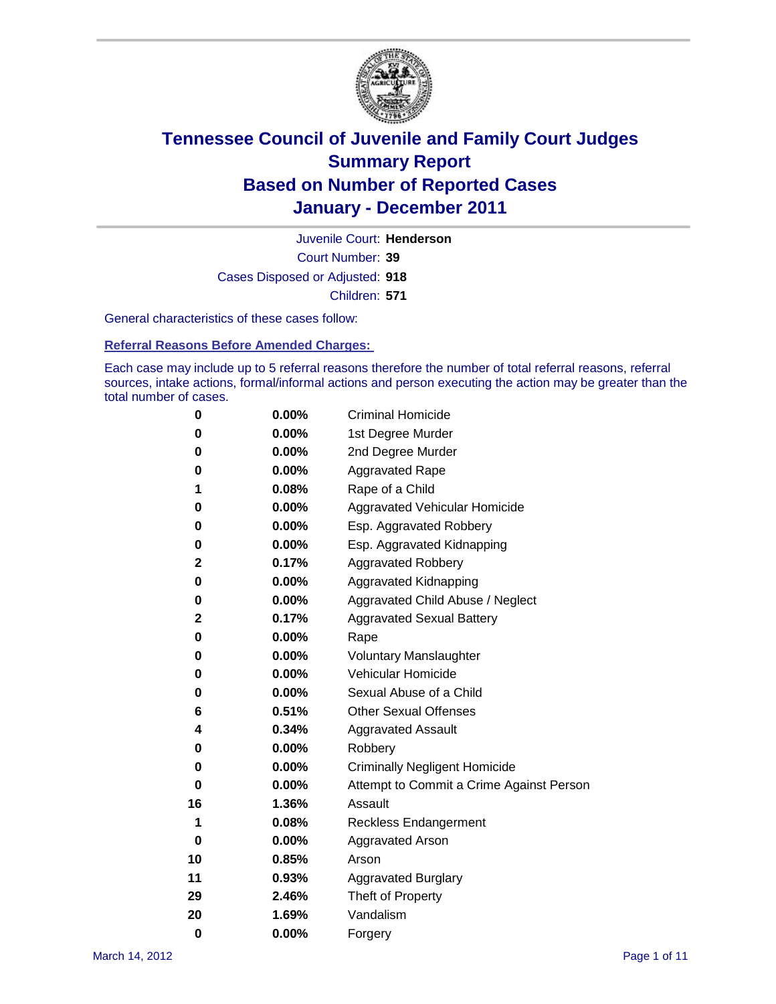

Court Number: **39** Juvenile Court: **Henderson** Cases Disposed or Adjusted: **918** Children: **571**

General characteristics of these cases follow:

**Referral Reasons Before Amended Charges:** 

Each case may include up to 5 referral reasons therefore the number of total referral reasons, referral sources, intake actions, formal/informal actions and person executing the action may be greater than the total number of cases.

| 0  | 0.00%    | <b>Criminal Homicide</b>                 |  |  |  |
|----|----------|------------------------------------------|--|--|--|
| 0  | 0.00%    | 1st Degree Murder                        |  |  |  |
| 0  | 0.00%    | 2nd Degree Murder                        |  |  |  |
| 0  | 0.00%    | <b>Aggravated Rape</b>                   |  |  |  |
| 1  | 0.08%    | Rape of a Child                          |  |  |  |
| 0  | 0.00%    | Aggravated Vehicular Homicide            |  |  |  |
| 0  | 0.00%    | Esp. Aggravated Robbery                  |  |  |  |
| 0  | 0.00%    | Esp. Aggravated Kidnapping               |  |  |  |
| 2  | 0.17%    | <b>Aggravated Robbery</b>                |  |  |  |
| 0  | 0.00%    | Aggravated Kidnapping                    |  |  |  |
| 0  | 0.00%    | Aggravated Child Abuse / Neglect         |  |  |  |
| 2  | 0.17%    | <b>Aggravated Sexual Battery</b>         |  |  |  |
| 0  | 0.00%    | Rape                                     |  |  |  |
| 0  | $0.00\%$ | <b>Voluntary Manslaughter</b>            |  |  |  |
| 0  | 0.00%    | Vehicular Homicide                       |  |  |  |
| 0  | 0.00%    | Sexual Abuse of a Child                  |  |  |  |
| 6  | 0.51%    | <b>Other Sexual Offenses</b>             |  |  |  |
| 4  | 0.34%    | <b>Aggravated Assault</b>                |  |  |  |
| 0  | $0.00\%$ | Robbery                                  |  |  |  |
| 0  | 0.00%    | <b>Criminally Negligent Homicide</b>     |  |  |  |
| 0  | 0.00%    | Attempt to Commit a Crime Against Person |  |  |  |
| 16 | 1.36%    | Assault                                  |  |  |  |
| 1  | 0.08%    | <b>Reckless Endangerment</b>             |  |  |  |
| 0  | 0.00%    | <b>Aggravated Arson</b>                  |  |  |  |
| 10 | 0.85%    | Arson                                    |  |  |  |
| 11 | 0.93%    | <b>Aggravated Burglary</b>               |  |  |  |
| 29 | 2.46%    | Theft of Property                        |  |  |  |
| 20 | 1.69%    | Vandalism                                |  |  |  |
| 0  | 0.00%    | Forgery                                  |  |  |  |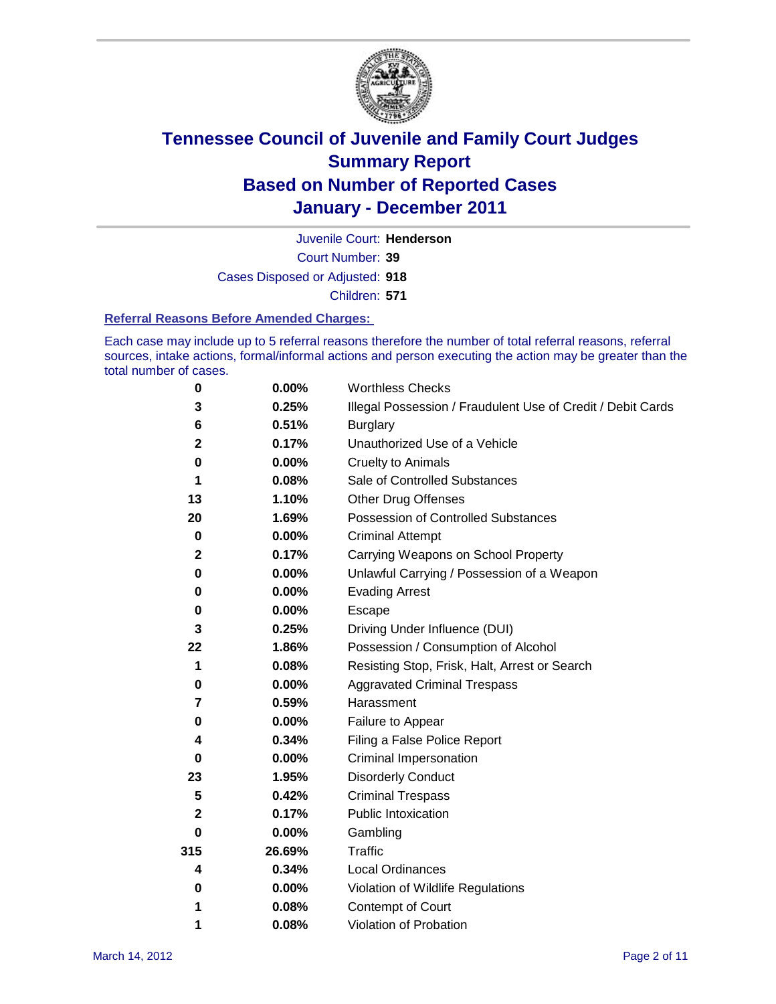

Court Number: **39** Juvenile Court: **Henderson** Cases Disposed or Adjusted: **918** Children: **571**

#### **Referral Reasons Before Amended Charges:**

Each case may include up to 5 referral reasons therefore the number of total referral reasons, referral sources, intake actions, formal/informal actions and person executing the action may be greater than the total number of cases.

| $\pmb{0}$    | 0.00%    | <b>Worthless Checks</b>                                     |
|--------------|----------|-------------------------------------------------------------|
| 3            | 0.25%    | Illegal Possession / Fraudulent Use of Credit / Debit Cards |
| 6            | 0.51%    | <b>Burglary</b>                                             |
| $\mathbf{2}$ | 0.17%    | Unauthorized Use of a Vehicle                               |
| 0            | $0.00\%$ | <b>Cruelty to Animals</b>                                   |
| 1            | 0.08%    | Sale of Controlled Substances                               |
| 13           | 1.10%    | <b>Other Drug Offenses</b>                                  |
| 20           | 1.69%    | Possession of Controlled Substances                         |
| $\pmb{0}$    | $0.00\%$ | <b>Criminal Attempt</b>                                     |
| $\mathbf 2$  | 0.17%    | Carrying Weapons on School Property                         |
| 0            | $0.00\%$ | Unlawful Carrying / Possession of a Weapon                  |
| 0            | $0.00\%$ | <b>Evading Arrest</b>                                       |
| 0            | 0.00%    | Escape                                                      |
| 3            | 0.25%    | Driving Under Influence (DUI)                               |
| 22           | 1.86%    | Possession / Consumption of Alcohol                         |
| 1            | 0.08%    | Resisting Stop, Frisk, Halt, Arrest or Search               |
| 0            | $0.00\%$ | <b>Aggravated Criminal Trespass</b>                         |
| 7            | 0.59%    | Harassment                                                  |
| 0            | 0.00%    | Failure to Appear                                           |
| 4            | 0.34%    | Filing a False Police Report                                |
| $\bf{0}$     | 0.00%    | Criminal Impersonation                                      |
| 23           | 1.95%    | <b>Disorderly Conduct</b>                                   |
| 5            | 0.42%    | <b>Criminal Trespass</b>                                    |
| 2            | 0.17%    | Public Intoxication                                         |
| 0            | $0.00\%$ | Gambling                                                    |
| 315          | 26.69%   | <b>Traffic</b>                                              |
| 4            | 0.34%    | Local Ordinances                                            |
| 0            | 0.00%    | Violation of Wildlife Regulations                           |
| 1            | 0.08%    | Contempt of Court                                           |
| 1            | 0.08%    | Violation of Probation                                      |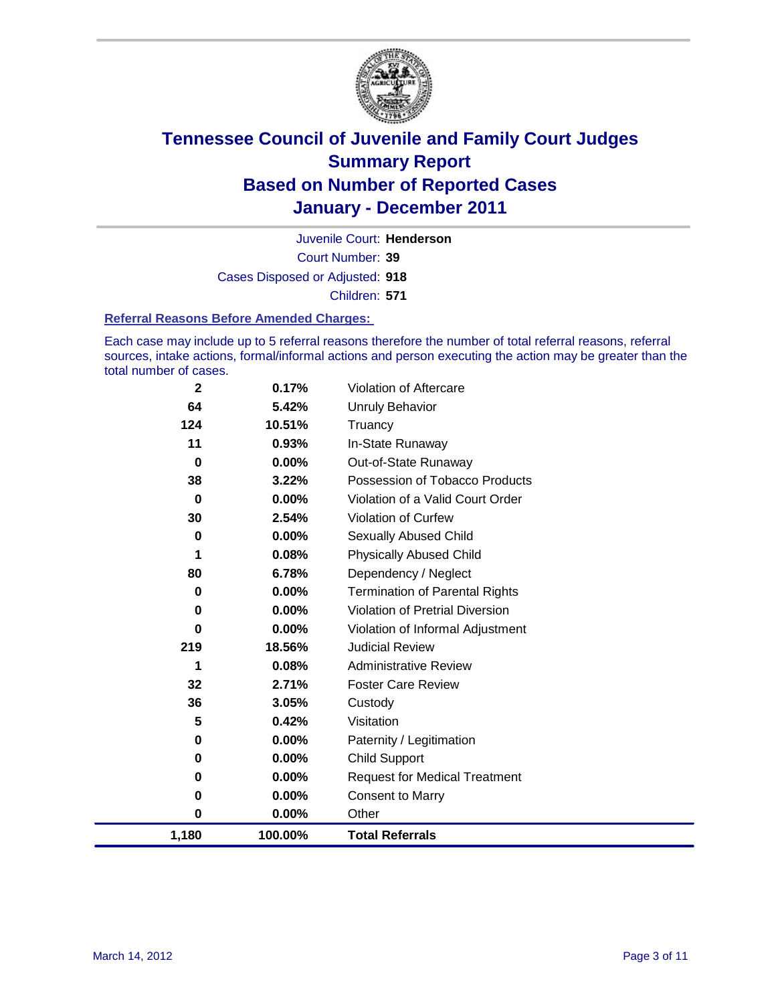

Court Number: **39** Juvenile Court: **Henderson** Cases Disposed or Adjusted: **918** Children: **571**

#### **Referral Reasons Before Amended Charges:**

Each case may include up to 5 referral reasons therefore the number of total referral reasons, referral sources, intake actions, formal/informal actions and person executing the action may be greater than the total number of cases.

| $\mathbf{2}$ | 0.17%   | Violation of Aftercare                 |
|--------------|---------|----------------------------------------|
| 64           | 5.42%   | <b>Unruly Behavior</b>                 |
| 124          | 10.51%  | Truancy                                |
| 11           | 0.93%   | In-State Runaway                       |
| 0            | 0.00%   | Out-of-State Runaway                   |
| 38           | 3.22%   | Possession of Tobacco Products         |
| 0            | 0.00%   | Violation of a Valid Court Order       |
| 30           | 2.54%   | Violation of Curfew                    |
| 0            | 0.00%   | <b>Sexually Abused Child</b>           |
| 1            | 0.08%   | <b>Physically Abused Child</b>         |
| 80           | 6.78%   | Dependency / Neglect                   |
| 0            | 0.00%   | <b>Termination of Parental Rights</b>  |
| 0            | 0.00%   | <b>Violation of Pretrial Diversion</b> |
| 0            | 0.00%   | Violation of Informal Adjustment       |
| 219          | 18.56%  | <b>Judicial Review</b>                 |
| 1            | 0.08%   | <b>Administrative Review</b>           |
| 32           | 2.71%   | <b>Foster Care Review</b>              |
| 36           | 3.05%   | Custody                                |
| 5            | 0.42%   | Visitation                             |
| 0            | 0.00%   | Paternity / Legitimation               |
| 0            | 0.00%   | <b>Child Support</b>                   |
| 0            | 0.00%   | <b>Request for Medical Treatment</b>   |
| 0            | 0.00%   | <b>Consent to Marry</b>                |
| 0            | 0.00%   | Other                                  |
| 1,180        | 100.00% | <b>Total Referrals</b>                 |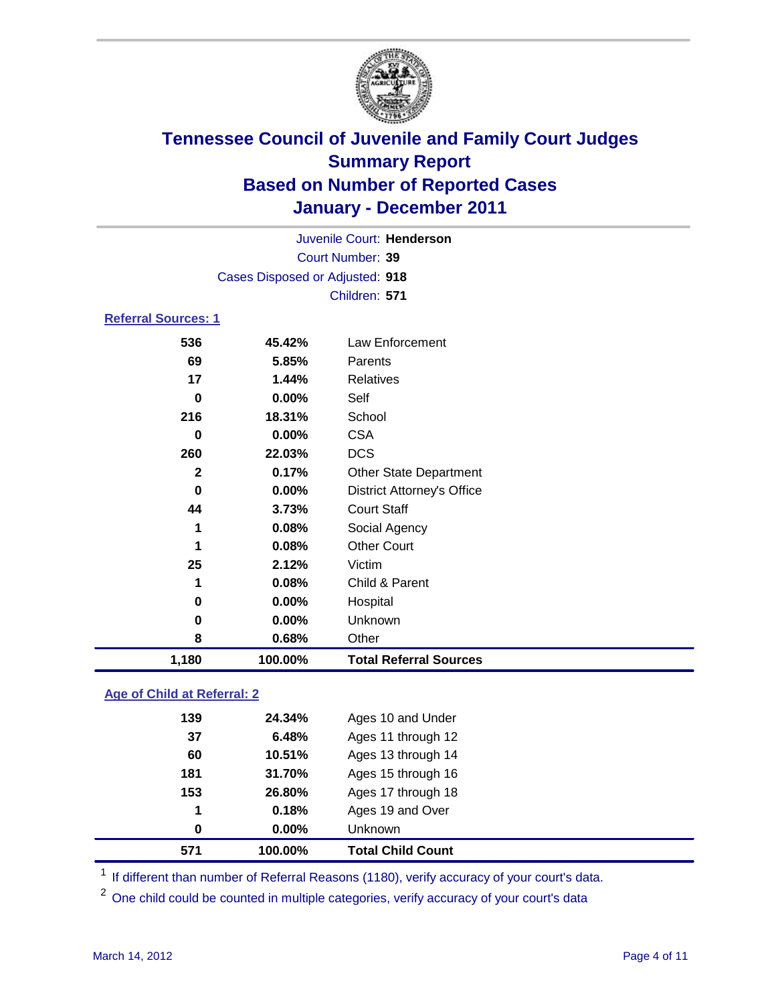

| Juvenile Court: Henderson  |                                 |                                   |  |  |  |
|----------------------------|---------------------------------|-----------------------------------|--|--|--|
|                            | Court Number: 39                |                                   |  |  |  |
|                            | Cases Disposed or Adjusted: 918 |                                   |  |  |  |
|                            |                                 | Children: 571                     |  |  |  |
| <b>Referral Sources: 1</b> |                                 |                                   |  |  |  |
| 536                        | 45.42%                          | Law Enforcement                   |  |  |  |
| 69                         | 5.85%                           | Parents                           |  |  |  |
| 17                         | 1.44%                           | <b>Relatives</b>                  |  |  |  |
| 0                          | 0.00%                           | Self                              |  |  |  |
| 216                        | 18.31%                          | School                            |  |  |  |
| $\bf{0}$                   | 0.00%                           | <b>CSA</b>                        |  |  |  |
| 260                        | 22.03%                          | <b>DCS</b>                        |  |  |  |
| $\mathbf{2}$               | 0.17%                           | <b>Other State Department</b>     |  |  |  |
| $\bf{0}$                   | $0.00\%$                        | <b>District Attorney's Office</b> |  |  |  |
| 44                         | 3.73%                           | <b>Court Staff</b>                |  |  |  |
| 1                          | 0.08%                           | Social Agency                     |  |  |  |
| 1                          | 0.08%                           | <b>Other Court</b>                |  |  |  |
| 25                         | 2.12%                           | Victim                            |  |  |  |
| 1                          | 0.08%                           | Child & Parent                    |  |  |  |
| $\bf{0}$                   | $0.00\%$                        | Hospital                          |  |  |  |
| $\mathbf 0$                | 0.00%                           | Unknown                           |  |  |  |
| 8                          | 0.68%                           | Other                             |  |  |  |
| 1,180                      | 100.00%                         | <b>Total Referral Sources</b>     |  |  |  |

### **Age of Child at Referral: 2**

| 571 | 100.00% | <b>Total Child Count</b> |
|-----|---------|--------------------------|
| 0   | 0.00%   | <b>Unknown</b>           |
| 1   | 0.18%   | Ages 19 and Over         |
| 153 | 26.80%  | Ages 17 through 18       |
| 181 | 31.70%  | Ages 15 through 16       |
| 60  | 10.51%  | Ages 13 through 14       |
| 37  | 6.48%   | Ages 11 through 12       |
| 139 | 24.34%  | Ages 10 and Under        |
|     |         |                          |

<sup>1</sup> If different than number of Referral Reasons (1180), verify accuracy of your court's data.

<sup>2</sup> One child could be counted in multiple categories, verify accuracy of your court's data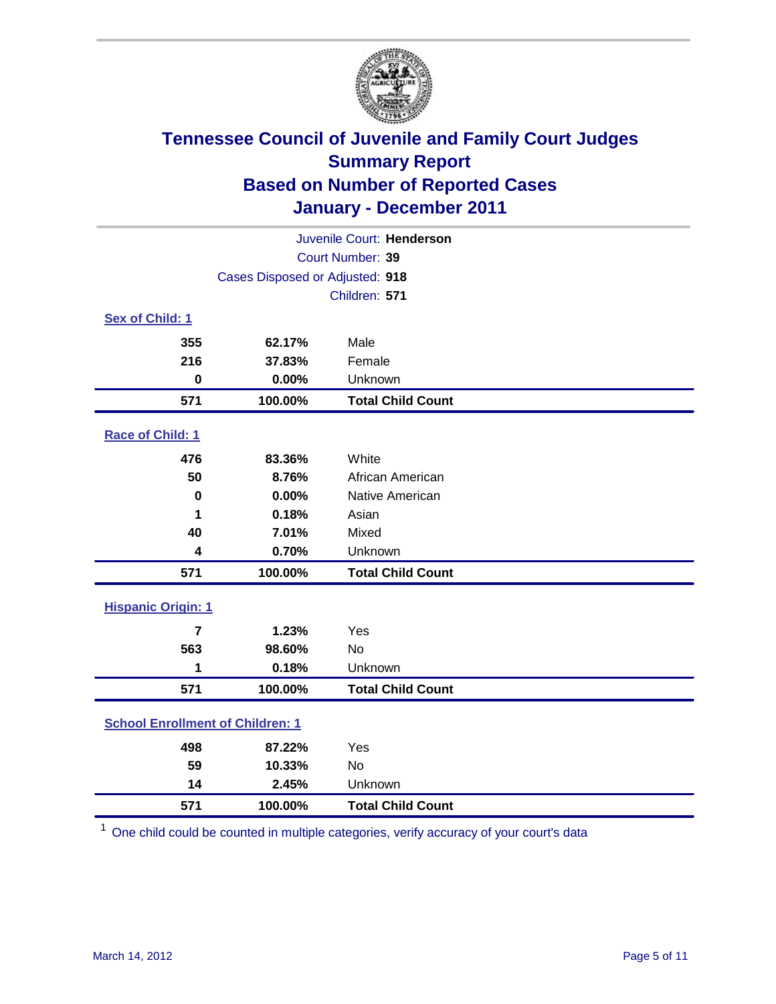

| Juvenile Court: Henderson               |                                 |                          |  |  |  |
|-----------------------------------------|---------------------------------|--------------------------|--|--|--|
|                                         | <b>Court Number: 39</b>         |                          |  |  |  |
|                                         | Cases Disposed or Adjusted: 918 |                          |  |  |  |
|                                         |                                 | Children: 571            |  |  |  |
| Sex of Child: 1                         |                                 |                          |  |  |  |
| 355                                     | 62.17%                          | Male                     |  |  |  |
| 216                                     | 37.83%                          | Female                   |  |  |  |
| $\mathbf 0$                             | 0.00%                           | Unknown                  |  |  |  |
| 571                                     | 100.00%                         | <b>Total Child Count</b> |  |  |  |
| Race of Child: 1                        |                                 |                          |  |  |  |
| 476                                     | 83.36%                          | White                    |  |  |  |
| 50                                      | 8.76%                           | African American         |  |  |  |
| $\mathbf 0$                             | 0.00%                           | Native American          |  |  |  |
| 1                                       | 0.18%                           | Asian                    |  |  |  |
| 40                                      | 7.01%                           | Mixed                    |  |  |  |
| 4                                       | 0.70%                           | Unknown                  |  |  |  |
| 571                                     | 100.00%                         | <b>Total Child Count</b> |  |  |  |
| <b>Hispanic Origin: 1</b>               |                                 |                          |  |  |  |
| $\overline{7}$                          | 1.23%                           | Yes                      |  |  |  |
| 563                                     | 98.60%                          | No                       |  |  |  |
| 1                                       | 0.18%                           | Unknown                  |  |  |  |
| 571                                     | 100.00%                         | <b>Total Child Count</b> |  |  |  |
| <b>School Enrollment of Children: 1</b> |                                 |                          |  |  |  |
| 498                                     | 87.22%                          | Yes                      |  |  |  |
| 59                                      | 10.33%                          | No                       |  |  |  |
| 14                                      | 2.45%                           | Unknown                  |  |  |  |
| 571                                     | 100.00%                         | <b>Total Child Count</b> |  |  |  |

One child could be counted in multiple categories, verify accuracy of your court's data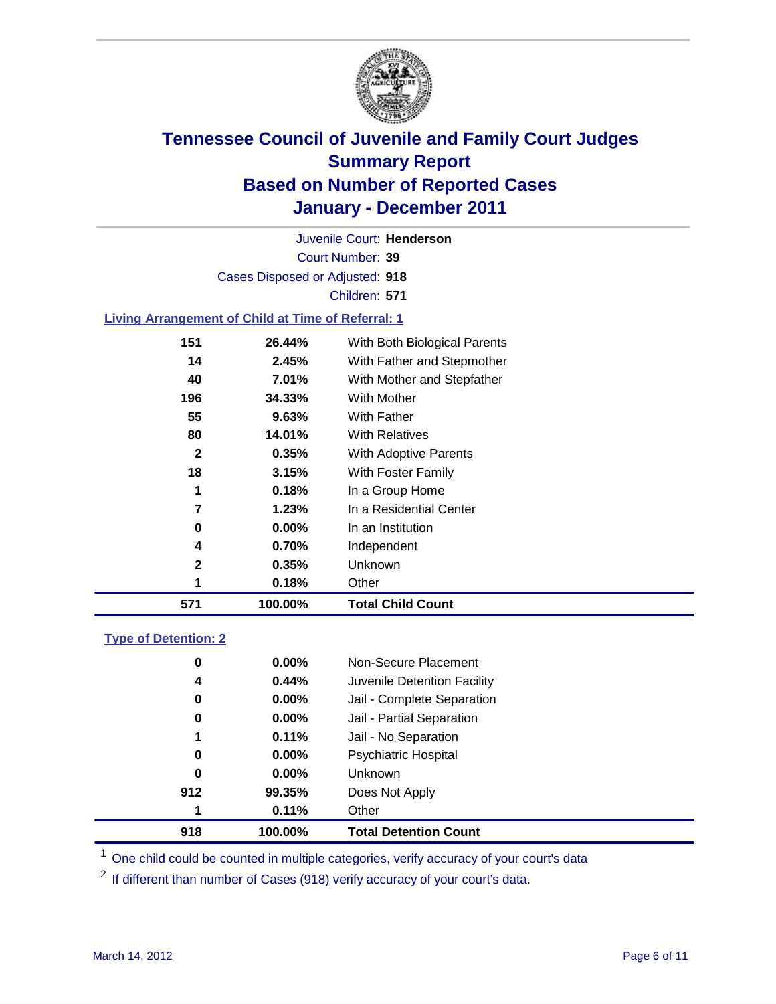

Court Number: **39** Juvenile Court: **Henderson** Cases Disposed or Adjusted: **918** Children: **571**

### **Living Arrangement of Child at Time of Referral: 1**

| 571 | 100.00% | <b>Total Child Count</b>     |
|-----|---------|------------------------------|
| 1   | 0.18%   | Other                        |
| 2   | 0.35%   | Unknown                      |
| 4   | 0.70%   | Independent                  |
| 0   | 0.00%   | In an Institution            |
| 7   | 1.23%   | In a Residential Center      |
| 1   | 0.18%   | In a Group Home              |
| 18  | 3.15%   | With Foster Family           |
| 2   | 0.35%   | <b>With Adoptive Parents</b> |
| 80  | 14.01%  | <b>With Relatives</b>        |
| 55  | 9.63%   | With Father                  |
| 196 | 34.33%  | <b>With Mother</b>           |
| 40  | 7.01%   | With Mother and Stepfather   |
| 14  | 2.45%   | With Father and Stepmother   |
| 151 | 26.44%  | With Both Biological Parents |

### **Type of Detention: 2**

| 918 | 100.00%  | <b>Total Detention Count</b> |  |
|-----|----------|------------------------------|--|
| 1   | 0.11%    | Other                        |  |
| 912 | 99.35%   | Does Not Apply               |  |
| 0   | $0.00\%$ | <b>Unknown</b>               |  |
| 0   | 0.00%    | <b>Psychiatric Hospital</b>  |  |
| 1   | 0.11%    | Jail - No Separation         |  |
| 0   | $0.00\%$ | Jail - Partial Separation    |  |
| 0   | $0.00\%$ | Jail - Complete Separation   |  |
| 4   | 0.44%    | Juvenile Detention Facility  |  |
| 0   | $0.00\%$ | Non-Secure Placement         |  |
|     |          |                              |  |

<sup>1</sup> One child could be counted in multiple categories, verify accuracy of your court's data

<sup>2</sup> If different than number of Cases (918) verify accuracy of your court's data.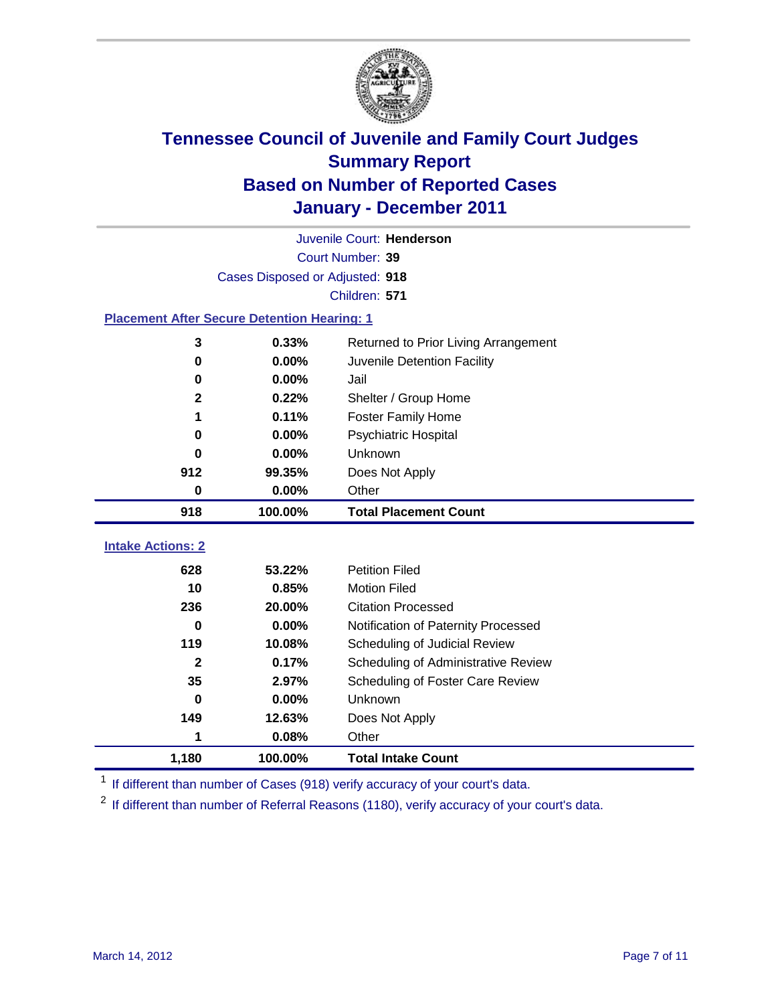

|                                                    | Juvenile Court: Henderson       |                                                  |  |  |  |
|----------------------------------------------------|---------------------------------|--------------------------------------------------|--|--|--|
|                                                    | Court Number: 39                |                                                  |  |  |  |
|                                                    | Cases Disposed or Adjusted: 918 |                                                  |  |  |  |
|                                                    |                                 | Children: 571                                    |  |  |  |
| <b>Placement After Secure Detention Hearing: 1</b> |                                 |                                                  |  |  |  |
| 3                                                  | 0.33%                           | Returned to Prior Living Arrangement             |  |  |  |
| 0                                                  | 0.00%                           | Juvenile Detention Facility                      |  |  |  |
| $\bf{0}$                                           | 0.00%                           | Jail                                             |  |  |  |
| $\mathbf{2}$                                       | 0.22%                           | Shelter / Group Home                             |  |  |  |
| 1                                                  | 0.11%                           | <b>Foster Family Home</b>                        |  |  |  |
| 0                                                  | 0.00%                           | Psychiatric Hospital                             |  |  |  |
| 0                                                  | 0.00%                           | Unknown                                          |  |  |  |
| 912                                                | 99.35%                          | Does Not Apply                                   |  |  |  |
| 0<br>$0.00\%$<br>Other                             |                                 |                                                  |  |  |  |
| 918                                                | 100.00%                         | <b>Total Placement Count</b>                     |  |  |  |
| <b>Intake Actions: 2</b>                           |                                 |                                                  |  |  |  |
|                                                    |                                 |                                                  |  |  |  |
| 628                                                | 53.22%                          | <b>Petition Filed</b>                            |  |  |  |
| 10<br>236                                          | 0.85%<br>20.00%                 | <b>Motion Filed</b><br><b>Citation Processed</b> |  |  |  |
|                                                    |                                 |                                                  |  |  |  |
| 0                                                  | 0.00%                           | Notification of Paternity Processed              |  |  |  |
| 119                                                | 10.08%                          | Scheduling of Judicial Review                    |  |  |  |
| $\mathbf{2}$                                       | 0.17%                           | Scheduling of Administrative Review              |  |  |  |
| 35                                                 | 2.97%                           | Scheduling of Foster Care Review                 |  |  |  |
| 0                                                  | 0.00%                           | Unknown                                          |  |  |  |
| 149                                                | 12.63%                          | Does Not Apply                                   |  |  |  |
|                                                    | 0.08%<br>Other<br>1             |                                                  |  |  |  |
| 1,180                                              | 100.00%                         | <b>Total Intake Count</b>                        |  |  |  |

<sup>1</sup> If different than number of Cases (918) verify accuracy of your court's data.

<sup>2</sup> If different than number of Referral Reasons (1180), verify accuracy of your court's data.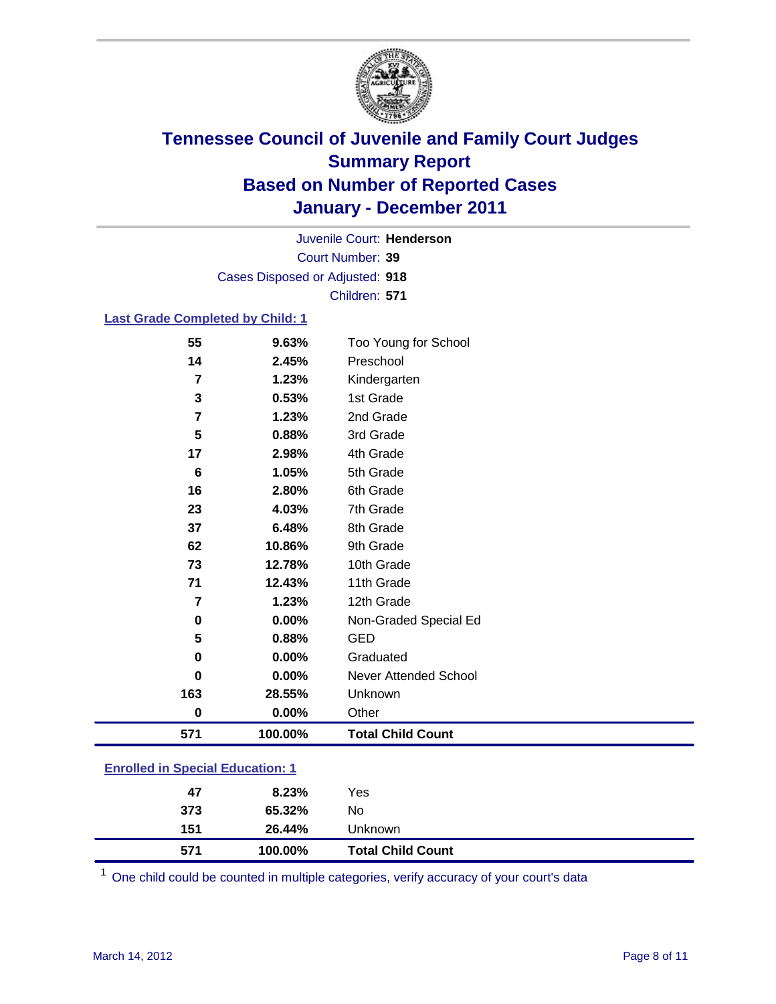

Court Number: **39** Juvenile Court: **Henderson** Cases Disposed or Adjusted: **918** Children: **571**

### **Last Grade Completed by Child: 1**

| 55       | 9.63%                                   | Too Young for School         |  |  |
|----------|-----------------------------------------|------------------------------|--|--|
| 14       | 2.45%                                   | Preschool                    |  |  |
| 7        | 1.23%                                   | Kindergarten                 |  |  |
| 3        | 0.53%                                   | 1st Grade                    |  |  |
| 7        | 1.23%                                   | 2nd Grade                    |  |  |
| 5        | 0.88%                                   | 3rd Grade                    |  |  |
| 17       | 2.98%                                   | 4th Grade                    |  |  |
| 6        | 1.05%                                   | 5th Grade                    |  |  |
| 16       | 2.80%                                   | 6th Grade                    |  |  |
| 23       | 4.03%                                   | 7th Grade                    |  |  |
| 37       | 6.48%                                   | 8th Grade                    |  |  |
| 62       | 10.86%                                  | 9th Grade                    |  |  |
| 73       | 12.78%                                  | 10th Grade                   |  |  |
| 71       | 12.43%                                  | 11th Grade                   |  |  |
| 7        | 1.23%                                   | 12th Grade                   |  |  |
| 0        | 0.00%                                   | Non-Graded Special Ed        |  |  |
| 5        | 0.88%                                   | <b>GED</b>                   |  |  |
| 0        | 0.00%                                   | Graduated                    |  |  |
| 0        | 0.00%                                   | <b>Never Attended School</b> |  |  |
| 163      | 28.55%                                  | Unknown                      |  |  |
| $\bf{0}$ | 0.00%                                   | Other                        |  |  |
| 571      | 100.00%                                 | <b>Total Child Count</b>     |  |  |
|          | <b>Enrolled in Special Education: 1</b> |                              |  |  |

| 571                                       | 100.00% | <b>Total Child Count</b> |  |  |
|-------------------------------------------|---------|--------------------------|--|--|
| 151                                       | 26.44%  | <b>Unknown</b>           |  |  |
| 373                                       | 65.32%  | No                       |  |  |
| 47                                        | 8.23%   | Yes                      |  |  |
| <u>Einvilled in Opcolar Eugeneinen. I</u> |         |                          |  |  |

One child could be counted in multiple categories, verify accuracy of your court's data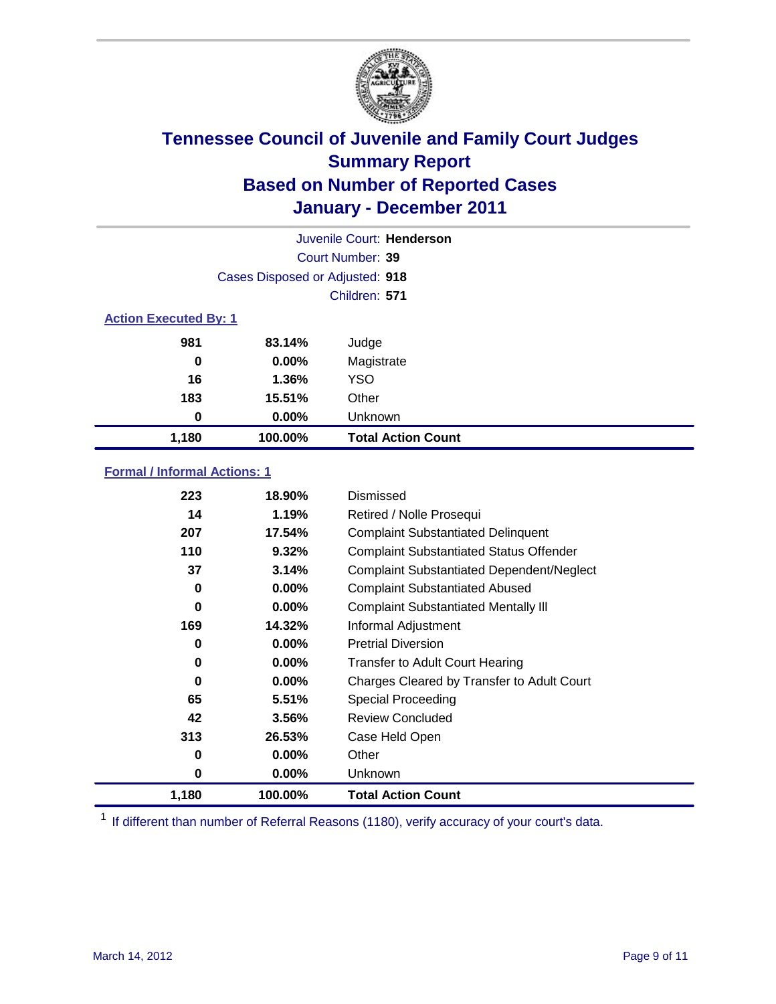

| Juvenile Court: Henderson    |                                 |                           |  |
|------------------------------|---------------------------------|---------------------------|--|
|                              |                                 | Court Number: 39          |  |
|                              | Cases Disposed or Adjusted: 918 |                           |  |
|                              |                                 | Children: 571             |  |
| <b>Action Executed By: 1</b> |                                 |                           |  |
| 981                          | 83.14%                          | Judge                     |  |
| $\bf{0}$                     | $0.00\%$                        | Magistrate                |  |
| 16                           | 1.36%                           | <b>YSO</b>                |  |
| 183                          | 15.51%                          | Other                     |  |
| 0                            | $0.00\%$                        | Unknown                   |  |
| 1,180                        | 100.00%                         | <b>Total Action Count</b> |  |

### **Formal / Informal Actions: 1**

| 223   | 18.90%   | Dismissed                                        |
|-------|----------|--------------------------------------------------|
| 14    | 1.19%    | Retired / Nolle Prosequi                         |
| 207   | 17.54%   | <b>Complaint Substantiated Delinquent</b>        |
| 110   | 9.32%    | <b>Complaint Substantiated Status Offender</b>   |
| 37    | 3.14%    | <b>Complaint Substantiated Dependent/Neglect</b> |
| 0     | $0.00\%$ | <b>Complaint Substantiated Abused</b>            |
| 0     | $0.00\%$ | <b>Complaint Substantiated Mentally III</b>      |
| 169   | 14.32%   | Informal Adjustment                              |
| 0     | $0.00\%$ | <b>Pretrial Diversion</b>                        |
| 0     | $0.00\%$ | <b>Transfer to Adult Court Hearing</b>           |
| 0     | $0.00\%$ | Charges Cleared by Transfer to Adult Court       |
| 65    | 5.51%    | Special Proceeding                               |
| 42    | 3.56%    | <b>Review Concluded</b>                          |
| 313   | 26.53%   | Case Held Open                                   |
| 0     | $0.00\%$ | Other                                            |
| 0     | $0.00\%$ | <b>Unknown</b>                                   |
| 1,180 | 100.00%  | <b>Total Action Count</b>                        |

<sup>1</sup> If different than number of Referral Reasons (1180), verify accuracy of your court's data.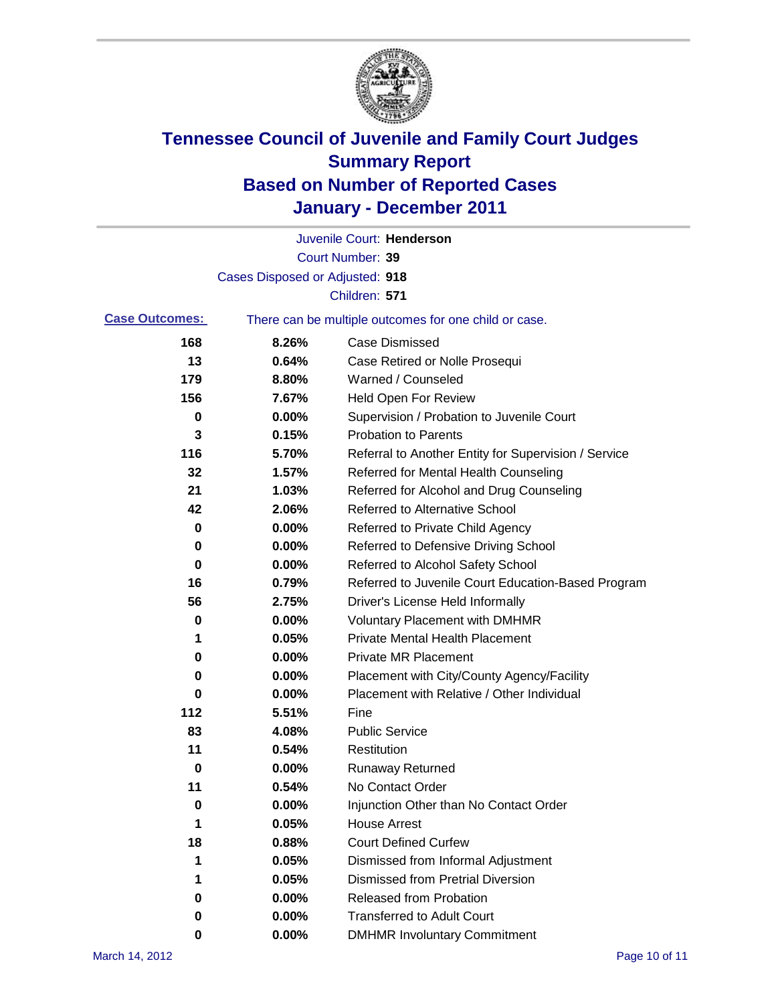

|                       |                                 | Juvenile Court: Henderson                             |
|-----------------------|---------------------------------|-------------------------------------------------------|
|                       |                                 | Court Number: 39                                      |
|                       | Cases Disposed or Adjusted: 918 |                                                       |
|                       |                                 | Children: 571                                         |
| <b>Case Outcomes:</b> |                                 | There can be multiple outcomes for one child or case. |
| 168                   | 8.26%                           | <b>Case Dismissed</b>                                 |
| 13                    | 0.64%                           | Case Retired or Nolle Prosequi                        |
| 179                   | 8.80%                           | Warned / Counseled                                    |
| 156                   | 7.67%                           | <b>Held Open For Review</b>                           |
| 0                     | 0.00%                           | Supervision / Probation to Juvenile Court             |
| 3                     | 0.15%                           | <b>Probation to Parents</b>                           |
| 116                   | 5.70%                           | Referral to Another Entity for Supervision / Service  |
| 32                    | 1.57%                           | Referred for Mental Health Counseling                 |
| 21                    | 1.03%                           | Referred for Alcohol and Drug Counseling              |
| 42                    | 2.06%                           | Referred to Alternative School                        |
| 0                     | 0.00%                           | Referred to Private Child Agency                      |
| 0                     | 0.00%                           | Referred to Defensive Driving School                  |
| 0                     | 0.00%                           | Referred to Alcohol Safety School                     |
| 16                    | 0.79%                           | Referred to Juvenile Court Education-Based Program    |
| 56                    | 2.75%                           | Driver's License Held Informally                      |
| 0                     | 0.00%                           | <b>Voluntary Placement with DMHMR</b>                 |
| 1                     | 0.05%                           | <b>Private Mental Health Placement</b>                |
| 0                     | 0.00%                           | <b>Private MR Placement</b>                           |
| 0                     | 0.00%                           | Placement with City/County Agency/Facility            |
| 0                     | 0.00%                           | Placement with Relative / Other Individual            |
| 112                   | 5.51%                           | Fine                                                  |
| 83                    | 4.08%                           | <b>Public Service</b>                                 |
| 11                    | 0.54%                           | Restitution                                           |
| 0                     | 0.00%                           | Runaway Returned                                      |
| 11                    | 0.54%                           | No Contact Order                                      |
| 0                     | 0.00%                           | Injunction Other than No Contact Order                |
| 1                     | 0.05%                           | <b>House Arrest</b>                                   |
| 18                    | 0.88%                           | <b>Court Defined Curfew</b>                           |
| 1                     | 0.05%                           | Dismissed from Informal Adjustment                    |
| 1                     | 0.05%                           | <b>Dismissed from Pretrial Diversion</b>              |
| 0                     | 0.00%                           | Released from Probation                               |
| 0                     | 0.00%                           | <b>Transferred to Adult Court</b>                     |
| 0                     | 0.00%                           | <b>DMHMR Involuntary Commitment</b>                   |